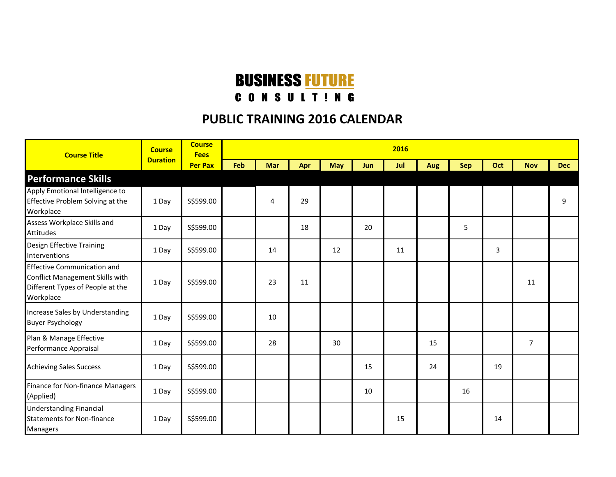## **BUSINESS FUTURE**

## **CONSULTING**

## **PUBLIC TRAINING 2016 CALENDAR**

| <b>Course Title</b>                                                                                                    | <b>Course</b><br><b>Duration</b> | <b>Course</b><br><b>Fees</b> | 2016 |     |     |            |     |     |     |            |     |                |            |  |
|------------------------------------------------------------------------------------------------------------------------|----------------------------------|------------------------------|------|-----|-----|------------|-----|-----|-----|------------|-----|----------------|------------|--|
|                                                                                                                        |                                  | <b>Per Pax</b>               | Feb  | Mar | Apr | <b>May</b> | Jun | Jul | Aug | <b>Sep</b> | Oct | <b>Nov</b>     | <b>Dec</b> |  |
| <b>Performance Skills</b>                                                                                              |                                  |                              |      |     |     |            |     |     |     |            |     |                |            |  |
| Apply Emotional Intelligence to<br>Effective Problem Solving at the<br>Workplace                                       | 1 Day                            | S\$599.00                    |      | 4   | 29  |            |     |     |     |            |     |                | 9          |  |
| Assess Workplace Skills and<br><b>Attitudes</b>                                                                        | 1 Day                            | S\$599.00                    |      |     | 18  |            | 20  |     |     | 5          |     |                |            |  |
| Design Effective Training<br>Interventions                                                                             | 1 Day                            | S\$599.00                    |      | 14  |     | 12         |     | 11  |     |            | 3   |                |            |  |
| <b>Effective Communication and</b><br>Conflict Management Skills with<br>Different Types of People at the<br>Workplace | 1 Day                            | S\$599.00                    |      | 23  | 11  |            |     |     |     |            |     | 11             |            |  |
| Increase Sales by Understanding<br><b>Buyer Psychology</b>                                                             | 1 Day                            | S\$599.00                    |      | 10  |     |            |     |     |     |            |     |                |            |  |
| Plan & Manage Effective<br>Performance Appraisal                                                                       | 1 Day                            | S\$599.00                    |      | 28  |     | 30         |     |     | 15  |            |     | $\overline{7}$ |            |  |
| <b>Achieving Sales Success</b>                                                                                         | 1 Day                            | S\$599.00                    |      |     |     |            | 15  |     | 24  |            | 19  |                |            |  |
| Finance for Non-finance Managers<br>(Applied)                                                                          | 1 Day                            | S\$599.00                    |      |     |     |            | 10  |     |     | 16         |     |                |            |  |
| <b>Understanding Financial</b><br><b>Statements for Non-finance</b><br><b>Managers</b>                                 | 1 Day                            | S\$599.00                    |      |     |     |            |     | 15  |     |            | 14  |                |            |  |